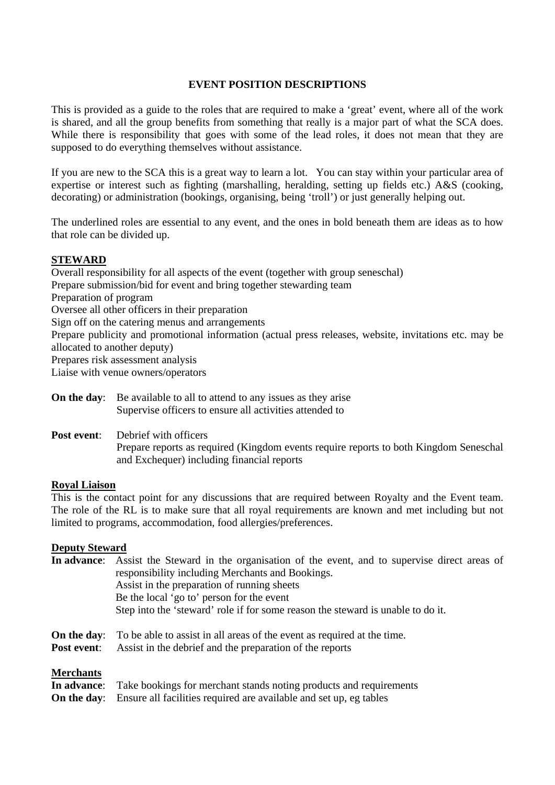## **EVENT POSITION DESCRIPTIONS**

This is provided as a guide to the roles that are required to make a 'great' event, where all of the work is shared, and all the group benefits from something that really is a major part of what the SCA does. While there is responsibility that goes with some of the lead roles, it does not mean that they are supposed to do everything themselves without assistance.

If you are new to the SCA this is a great way to learn a lot. You can stay within your particular area of expertise or interest such as fighting (marshalling, heralding, setting up fields etc.) A&S (cooking, decorating) or administration (bookings, organising, being 'troll') or just generally helping out.

The underlined roles are essential to any event, and the ones in bold beneath them are ideas as to how that role can be divided up.

## **STEWARD**

Overall responsibility for all aspects of the event (together with group seneschal) Prepare submission/bid for event and bring together stewarding team Preparation of program Oversee all other officers in their preparation Sign off on the catering menus and arrangements Prepare publicity and promotional information (actual press releases, website, invitations etc. may be allocated to another deputy) Prepares risk assessment analysis Liaise with venue owners/operators

- **On the day:** Be available to all to attend to any issues as they arise Supervise officers to ensure all activities attended to
- **Post event:** Debrief with officers

Prepare reports as required (Kingdom events require reports to both Kingdom Seneschal and Exchequer) including financial reports

## **Royal Liaison**

This is the contact point for any discussions that are required between Royalty and the Event team. The role of the RL is to make sure that all royal requirements are known and met including but not limited to programs, accommodation, food allergies/preferences.

## **Deputy Steward**

|                                 | In advance: Assist the Steward in the organisation of the event, and to supervise direct areas of<br>responsibility including Merchants and Bookings.<br>Assist in the preparation of running sheets<br>Be the local 'go to' person for the event<br>Step into the 'steward' role if for some reason the steward is unable to do it. |
|---------------------------------|--------------------------------------------------------------------------------------------------------------------------------------------------------------------------------------------------------------------------------------------------------------------------------------------------------------------------------------|
| On the day:<br>Post event:      | To be able to assist in all areas of the event as required at the time.<br>Assist in the debrief and the preparation of the reports                                                                                                                                                                                                  |
| <b>Merchants</b><br>In advance: | Take bookings for merchant stands noting products and requirements                                                                                                                                                                                                                                                                   |

**On the day:** Ensure all facilities required are available and set up, eg tables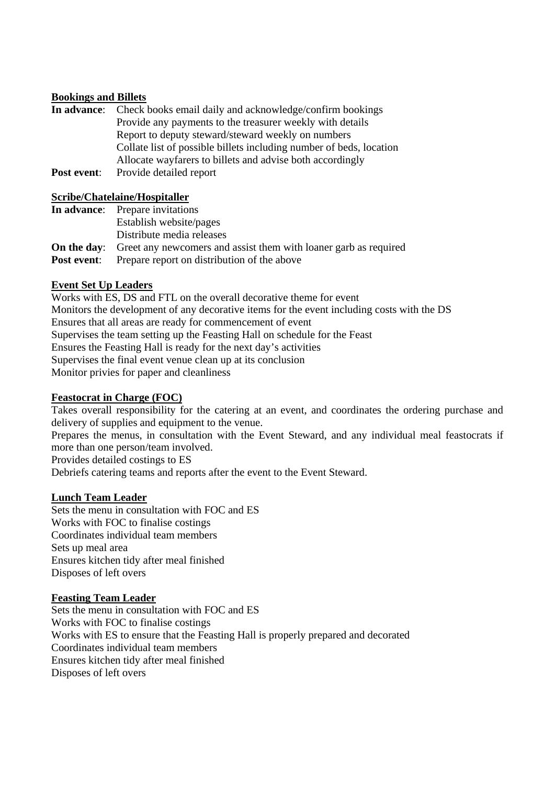## **Bookings and Billets**

|             | <b>In advance:</b> Check books email daily and acknowledge/confirm bookings |
|-------------|-----------------------------------------------------------------------------|
|             | Provide any payments to the treasurer weekly with details                   |
|             | Report to deputy steward/steward weekly on numbers                          |
|             | Collate list of possible billets including number of beds, location         |
|             | Allocate wayfarers to billets and advise both accordingly                   |
| Post event: | Provide detailed report                                                     |

### **Scribe/Chatelaine/Hospitaller**

| <b>In advance:</b> Prepare invitations                                              |
|-------------------------------------------------------------------------------------|
| Establish website/pages                                                             |
| Distribute media releases                                                           |
| <b>On the day:</b> Greet any newcomers and assist them with loaner garb as required |
| <b>Post event:</b> Prepare report on distribution of the above                      |

## **Event Set Up Leaders**

Works with ES, DS and FTL on the overall decorative theme for event Monitors the development of any decorative items for the event including costs with the DS Ensures that all areas are ready for commencement of event Supervises the team setting up the Feasting Hall on schedule for the Feast Ensures the Feasting Hall is ready for the next day's activities Supervises the final event venue clean up at its conclusion Monitor privies for paper and cleanliness

### **Feastocrat in Charge (FOC)**

Takes overall responsibility for the catering at an event, and coordinates the ordering purchase and delivery of supplies and equipment to the venue.

Prepares the menus, in consultation with the Event Steward, and any individual meal feastocrats if more than one person/team involved.

Provides detailed costings to ES

Debriefs catering teams and reports after the event to the Event Steward.

#### **Lunch Team Leader**

Sets the menu in consultation with FOC and ES Works with FOC to finalise costings Coordinates individual team members Sets up meal area Ensures kitchen tidy after meal finished Disposes of left overs

#### **Feasting Team Leader**

Sets the menu in consultation with FOC and ES Works with FOC to finalise costings Works with ES to ensure that the Feasting Hall is properly prepared and decorated Coordinates individual team members Ensures kitchen tidy after meal finished Disposes of left overs